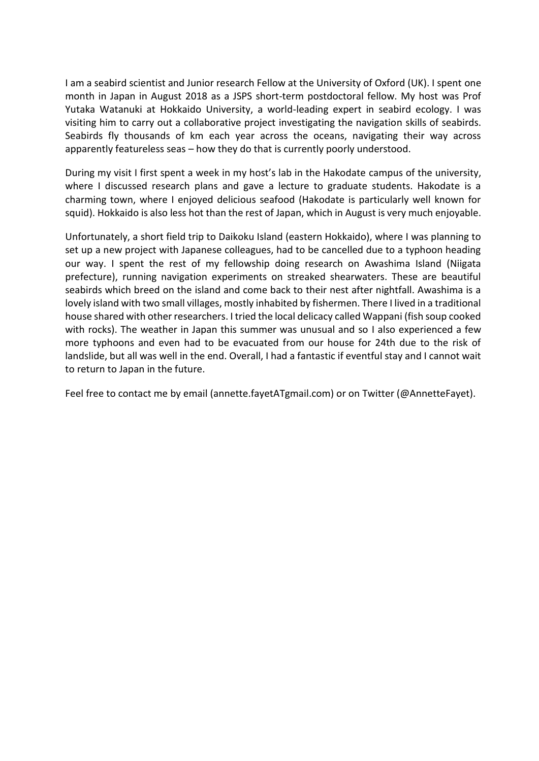I am a seabird scientist and Junior research Fellow at the University of Oxford (UK). I spent one month in Japan in August 2018 as a JSPS short-term postdoctoral fellow. My host was Prof Yutaka Watanuki at Hokkaido University, a world-leading expert in seabird ecology. I was visiting him to carry out a collaborative project investigating the navigation skills of seabirds. Seabirds fly thousands of km each year across the oceans, navigating their way across apparently featureless seas – how they do that is currently poorly understood.

During my visit I first spent a week in my host's lab in the Hakodate campus of the university, where I discussed research plans and gave a lecture to graduate students. Hakodate is a charming town, where I enjoyed delicious seafood (Hakodate is particularly well known for squid). Hokkaido is also less hot than the rest of Japan, which in August is very much enjoyable.

Unfortunately, a short field trip to Daikoku Island (eastern Hokkaido), where I was planning to set up a new project with Japanese colleagues, had to be cancelled due to a typhoon heading our way. I spent the rest of my fellowship doing research on Awashima Island (Niigata prefecture), running navigation experiments on streaked shearwaters. These are beautiful seabirds which breed on the island and come back to their nest after nightfall. Awashima is a lovely island with two small villages, mostly inhabited by fishermen. There I lived in a traditional house shared with other researchers. I tried the local delicacy called Wappani (fish soup cooked with rocks). The weather in Japan this summer was unusual and so I also experienced a few more typhoons and even had to be evacuated from our house for 24th due to the risk of landslide, but all was well in the end. Overall, I had a fantastic if eventful stay and I cannot wait to return to Japan in the future.

Feel free to contact me by email (annette.fayetATgmail.com) or on Twitter (@AnnetteFayet).